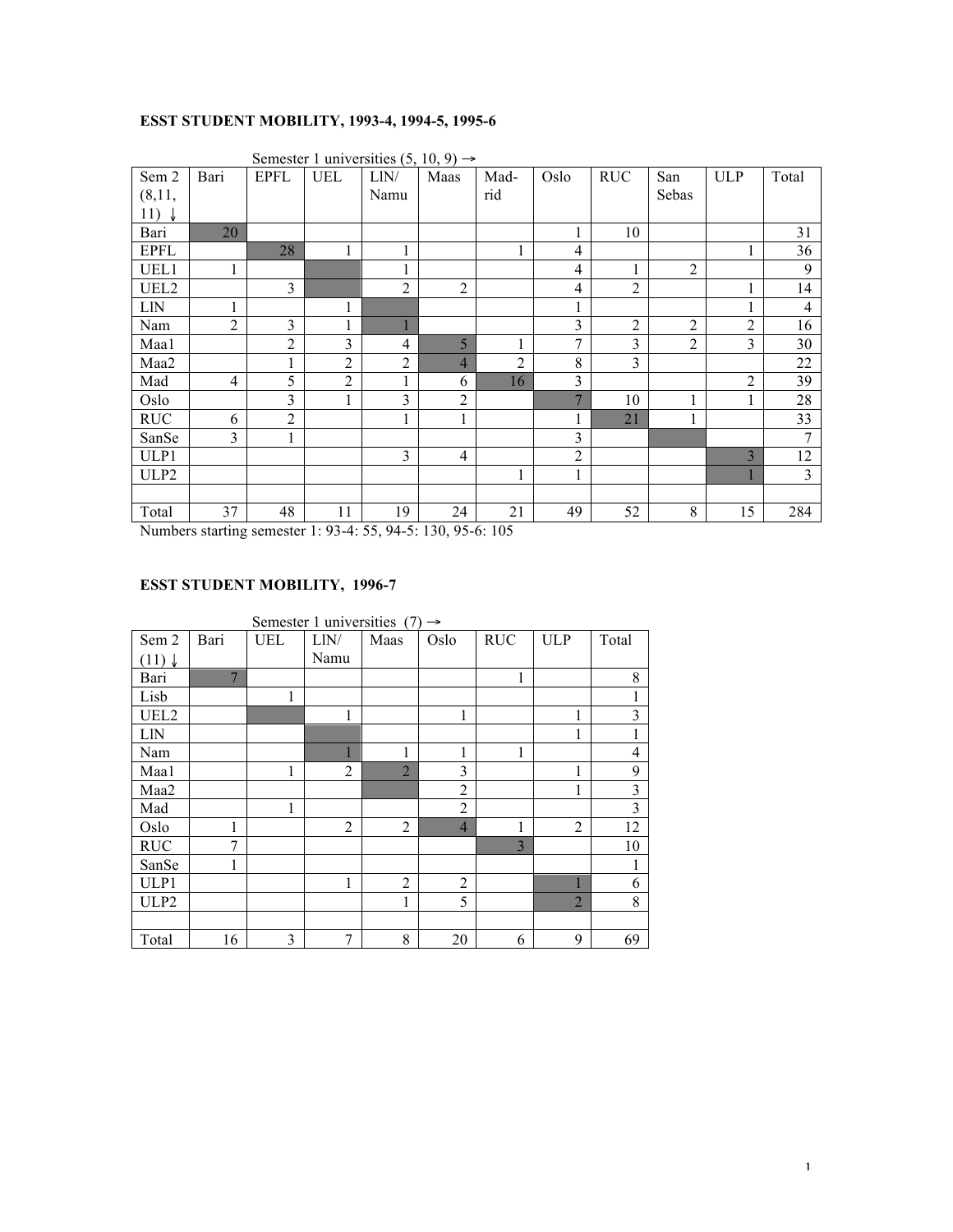#### **ESST STUDENT MOBILITY, 1993-4, 1994-5, 1995-6**

| Sem 2<br>(8,11,  | Bari           | <b>EPFL</b>    | <b>UEL</b>     | $\sqrt{ }$<br>LIN/<br>Namu | - 2 - 2<br>Maas | Mad-<br>rid    | Oslo           | <b>RUC</b>     | San<br>Sebas   | <b>ULP</b>     | Total          |
|------------------|----------------|----------------|----------------|----------------------------|-----------------|----------------|----------------|----------------|----------------|----------------|----------------|
|                  |                |                |                |                            |                 |                |                |                |                |                |                |
| 11) $\downarrow$ |                |                |                |                            |                 |                |                |                |                |                |                |
| Bari             | 20             |                |                |                            |                 |                | 1              | 10             |                |                | 31             |
| <b>EPFL</b>      |                | 28             | 1              |                            |                 | 1              | $\overline{4}$ |                |                |                | 36             |
| UEL1             | 1              |                |                |                            |                 |                | $\overline{4}$ | $\mathbf{1}$   | $\overline{2}$ |                | 9              |
| UEL2             |                | 3              |                | $\overline{2}$             | $\overline{2}$  |                | $\overline{4}$ | $\overline{2}$ |                |                | 14             |
| <b>LIN</b>       | 1              |                |                |                            |                 |                | 1              |                |                |                | $\overline{4}$ |
| Nam              | $\overline{2}$ | 3              |                |                            |                 |                | 3              | $\overline{c}$ | $\overline{2}$ | $\overline{2}$ | 16             |
| Maa1             |                | $\overline{2}$ | 3              | $\overline{4}$             | 5               | $\mathbf{1}$   | $\overline{7}$ | 3              | $\overline{2}$ | 3              | 30             |
| Maa2             |                | $\mathbf{1}$   | $\overline{2}$ | $\overline{2}$             | $\overline{4}$  | $\overline{2}$ | $8\,$          | 3              |                |                | 22             |
| Mad              | $\overline{4}$ | 5              | $\overline{2}$ | 1                          | 6               | 16             | $\overline{3}$ |                |                | $\overline{2}$ | 39             |
| Oslo             |                | 3              | 1              | 3                          | $\overline{2}$  |                | $\overline{7}$ | 10             | -1             |                | 28             |
| <b>RUC</b>       | 6              | $\overline{2}$ |                |                            | 1               |                | 1              | 21             |                |                | 33             |
| SanSe            | 3              |                |                |                            |                 |                | 3              |                |                |                | 7              |
| ULP1             |                |                |                | 3                          | $\overline{4}$  |                | $\overline{2}$ |                |                | 3              | 12             |
| ULP2             |                |                |                |                            |                 | 1              | 1              |                |                |                | $\overline{3}$ |
|                  |                |                |                |                            |                 |                |                |                |                |                |                |
| Total            | 37             | 48             | 11             | 19                         | 24              | 21             | 49             | 52             | 8              | 15             | 284            |

Semester 1 universities  $(5, 10, 9) \rightarrow$ 

Numbers starting semester 1: 93-4: 55, 94-5: 130, 95-6: 105

#### **ESST STUDENT MOBILITY, 1996-7**

|                   |                |            | Semester 1 universities $(7) \rightarrow$ |                |                |            |                |                |
|-------------------|----------------|------------|-------------------------------------------|----------------|----------------|------------|----------------|----------------|
| Sem 2             | Bari           | <b>UEL</b> | LIN/                                      | Maas           | Oslo           | <b>RUC</b> | <b>ULP</b>     | Total          |
| $(11) \downarrow$ |                |            | Namu                                      |                |                |            |                |                |
| Bari              | $\overline{7}$ |            |                                           |                |                | 1          |                | 8              |
| Lisb              |                | 1          |                                           |                |                |            |                | 1              |
| UEL2              |                |            | 1                                         |                | 1              |            | 1              | $\overline{3}$ |
| <b>LIN</b>        |                |            |                                           |                |                |            | 1              | 1              |
| Nam               |                |            |                                           | 1              | 1              | 1          |                | $\overline{4}$ |
| Maa1              |                | 1          | $\overline{2}$                            | $\overline{2}$ | 3              |            | 1              | 9              |
| Maa2              |                |            |                                           |                | $\overline{2}$ |            | 1              | $\mathfrak{Z}$ |
| Mad               |                | 1          |                                           |                | $\overline{2}$ |            |                | $\overline{3}$ |
| Oslo              | 1              |            | $\overline{2}$                            | 2              | $\overline{4}$ | 1          | 2              | 12             |
| <b>RUC</b>        | 7              |            |                                           |                |                | 3          |                | 10             |
| SanSe             | 1              |            |                                           |                |                |            |                | 1              |
| ULP1              |                |            | 1                                         | 2              | $\overline{2}$ |            |                | 6              |
| ULP2              |                |            |                                           | 1              | 5              |            | $\overline{2}$ | 8              |
|                   |                |            |                                           |                |                |            |                |                |
| Total             | 16             | 3          | $\overline{7}$                            | 8              | 20             | 6          | 9              | 69             |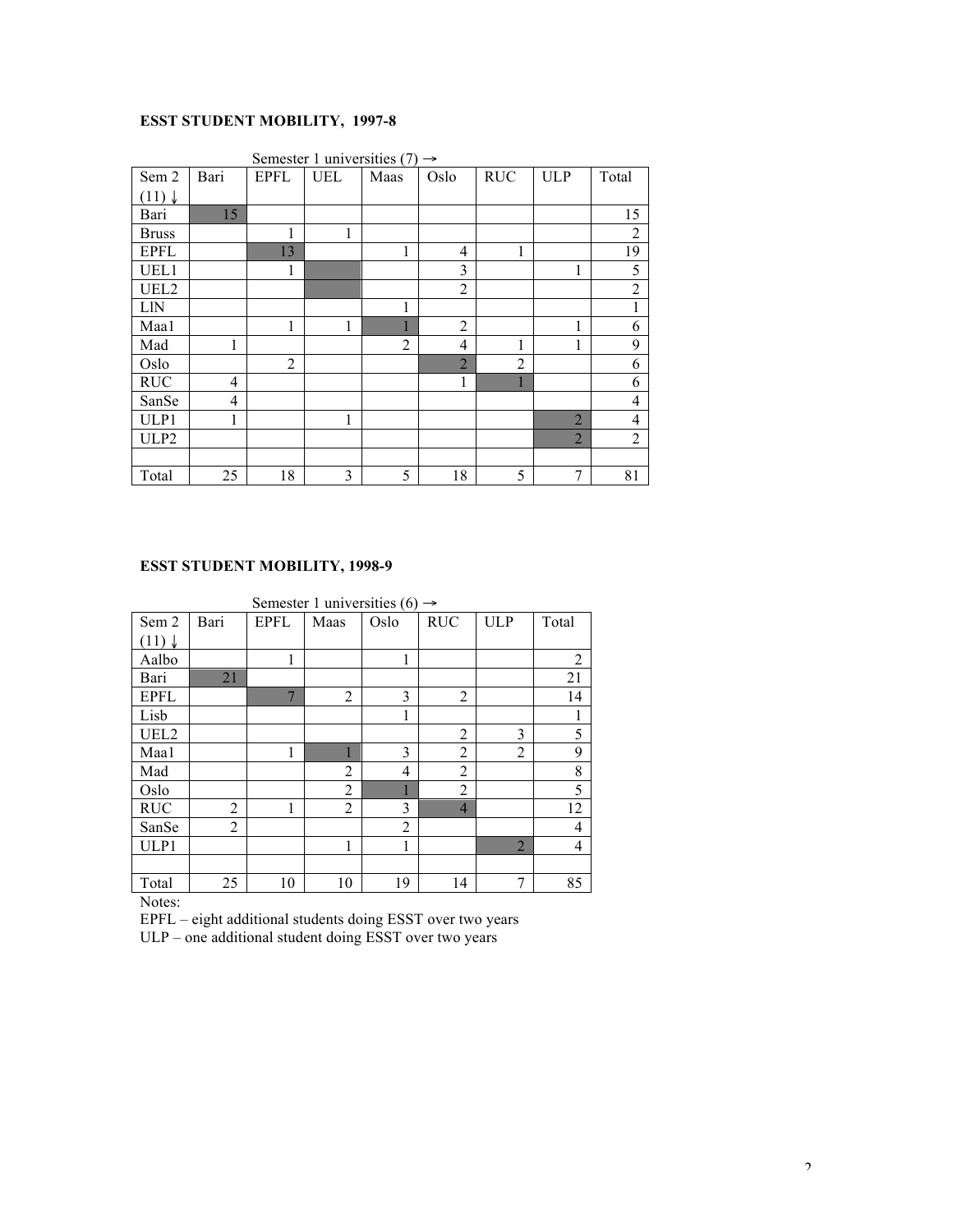### **ESST STUDENT MOBILITY, 1997-8**

|                   |                |                | Semester 1 universities $(7) \rightarrow$ |                |                |                |                |                |
|-------------------|----------------|----------------|-------------------------------------------|----------------|----------------|----------------|----------------|----------------|
| Sem 2             | Bari           | <b>EPFL</b>    | <b>UEL</b>                                | Maas           | Oslo           | <b>RUC</b>     | <b>ULP</b>     | Total          |
| $(11) \downarrow$ |                |                |                                           |                |                |                |                |                |
| Bari              | 15             |                |                                           |                |                |                |                | 15             |
| <b>Bruss</b>      |                | 1              | 1                                         |                |                |                |                | $\overline{2}$ |
| <b>EPFL</b>       |                | 13             |                                           | 1              | 4              | 1              |                | 19             |
| UEL1              |                | 1              |                                           |                | 3              |                | 1              | 5              |
| UEL2              |                |                |                                           |                | $\overline{2}$ |                |                | $\sqrt{2}$     |
| <b>LIN</b>        |                |                |                                           | 1              |                |                |                | $\,1$          |
| Maal              |                | 1              | 1                                         |                | $\overline{2}$ |                | 1              | 6              |
| Mad               | 1              |                |                                           | $\overline{2}$ | $\overline{4}$ | 1              | 1              | 9              |
| Oslo              |                | $\overline{2}$ |                                           |                | $\overline{2}$ | $\overline{2}$ |                | 6              |
| <b>RUC</b>        | $\overline{4}$ |                |                                           |                | 1              |                |                | 6              |
| SanSe             | $\overline{4}$ |                |                                           |                |                |                |                | 4              |
| ULP1              | 1              |                | 1                                         |                |                |                | $\overline{2}$ | $\overline{4}$ |
| ULP <sub>2</sub>  |                |                |                                           |                |                |                | $\overline{2}$ | $\overline{2}$ |
|                   |                |                |                                           |                |                |                |                |                |
| Total             | 25             | 18             | 3                                         | 5              | 18             | 5              | 7              | 81             |

#### **ESST STUDENT MOBILITY, 1998-9**

|                   |                |                | Semester 1 universities (6) $\rightarrow$ |                |                |                |                |
|-------------------|----------------|----------------|-------------------------------------------|----------------|----------------|----------------|----------------|
| Sem 2             | Bari           | <b>EPFL</b>    | Maas                                      | Oslo           | <b>RUC</b>     | <b>ULP</b>     | Total          |
| $(11) \downarrow$ |                |                |                                           |                |                |                |                |
| Aalbo             |                | 1              |                                           | 1              |                |                | $\overline{2}$ |
| Bari              | 21             |                |                                           |                |                |                | 21             |
| <b>EPFL</b>       |                | $\overline{7}$ | 2                                         | 3              | $\overline{2}$ |                | 14             |
| Lisb              |                |                |                                           | 1              |                |                | 1              |
| UEL2              |                |                |                                           |                | $\overline{2}$ | 3              | 5              |
| Maal              |                | 1              |                                           | 3              | $\overline{2}$ | $\overline{2}$ | 9              |
| Mad               |                |                | $\overline{2}$                            | $\overline{4}$ | 2              |                | 8              |
| Oslo              |                |                | $\overline{2}$                            |                | $\overline{2}$ |                | 5              |
| <b>RUC</b>        | $\overline{2}$ | 1              | 2                                         | 3              | $\overline{4}$ |                | 12             |
| SanSe             | 2              |                |                                           | $\overline{2}$ |                |                | $\overline{4}$ |
| ULP1              |                |                |                                           | 1              |                | $\overline{2}$ | 4              |
|                   |                |                |                                           |                |                |                |                |
| Total             | 25             | 10             | 10                                        | 19             | 14             | 7              | 85             |

Notes:

EPFL – eight additional students doing ESST over two years ULP – one additional student doing ESST over two years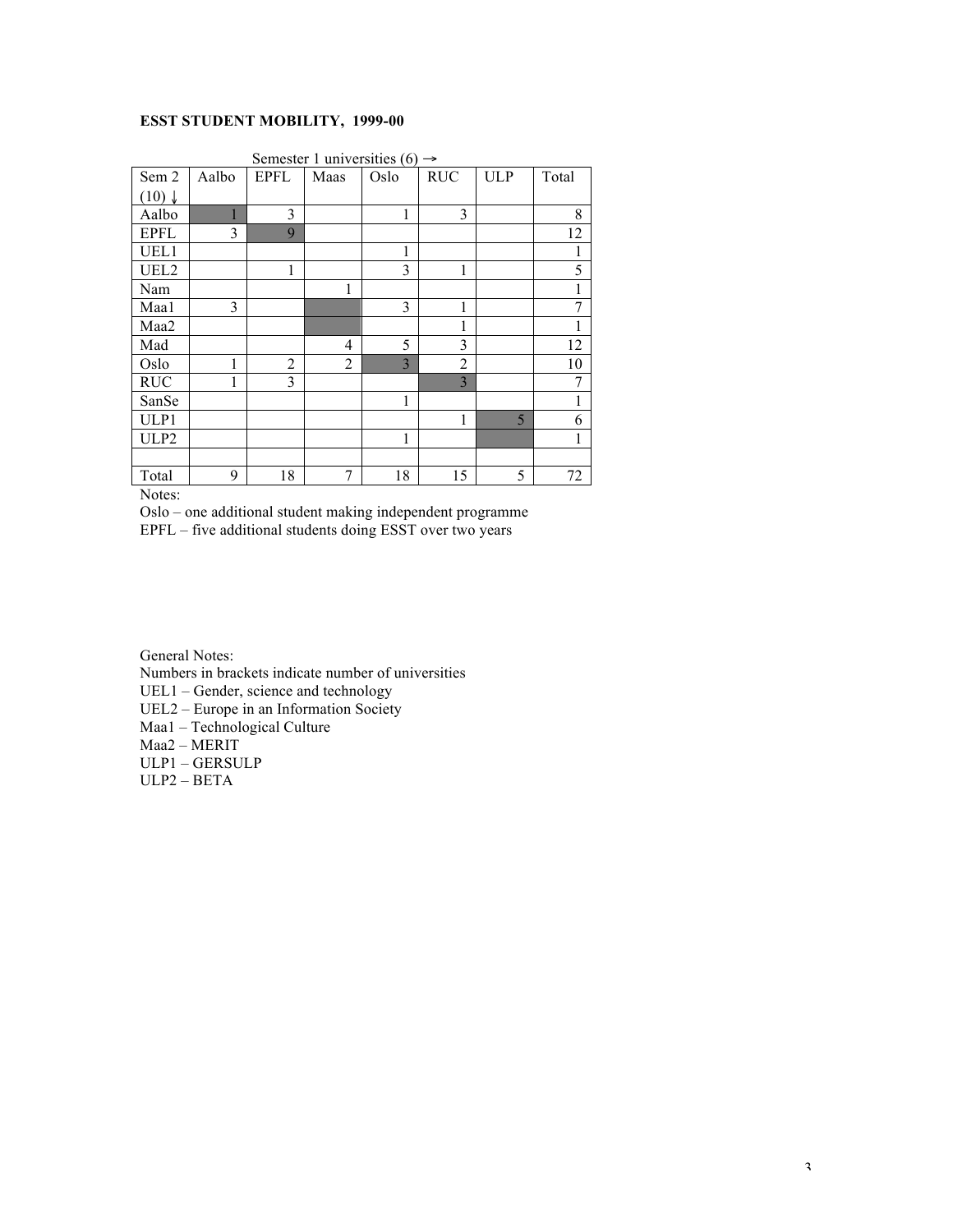#### **ESST STUDENT MOBILITY, 1999-00**

|                   |       |                | Semester 1 universities (6) $\rightarrow$ |      |                |            |       |
|-------------------|-------|----------------|-------------------------------------------|------|----------------|------------|-------|
| Sem 2             | Aalbo | <b>EPFL</b>    | Maas                                      | Oslo | <b>RUC</b>     | <b>ULP</b> | Total |
| $(10) \downarrow$ |       |                |                                           |      |                |            |       |
| Aalbo             |       | 3              |                                           | 1    | 3              |            | 8     |
| <b>EPFL</b>       | 3     | 9              |                                           |      |                |            | 12    |
| UEL1              |       |                |                                           | 1    |                |            |       |
| UEL <sub>2</sub>  |       | 1              |                                           | 3    | 1              |            | 5     |
| Nam               |       |                | 1                                         |      |                |            |       |
| Maal              | 3     |                |                                           | 3    | 1              |            | 7     |
| Maa2              |       |                |                                           |      | 1              |            |       |
| Mad               |       |                | 4                                         | 5    | 3              |            | 12    |
| Oslo              | 1     | $\overline{2}$ | 2                                         | 3    | $\overline{2}$ |            | 10    |
| <b>RUC</b>        |       | 3              |                                           |      | 3              |            | 7     |
| SanSe             |       |                |                                           | 1    |                |            | 1     |
| ULP1              |       |                |                                           |      | 1              | 5          | 6     |
| ULP2              |       |                |                                           | 1    |                |            | 1     |
|                   |       |                |                                           |      |                |            |       |
| Total             | 9     | 18             | 7                                         | 18   | 15             | 5          | 72    |

Notes:

Oslo – one additional student making independent programme

EPFL – five additional students doing ESST over two years

General Notes:

Numbers in brackets indicate number of universities

UEL1 – Gender, science and technology

UEL2 – Europe in an Information Society

Maa1 – Technological Culture

Maa2 – MERIT

ULP1 – GERSULP

ULP2 – BETA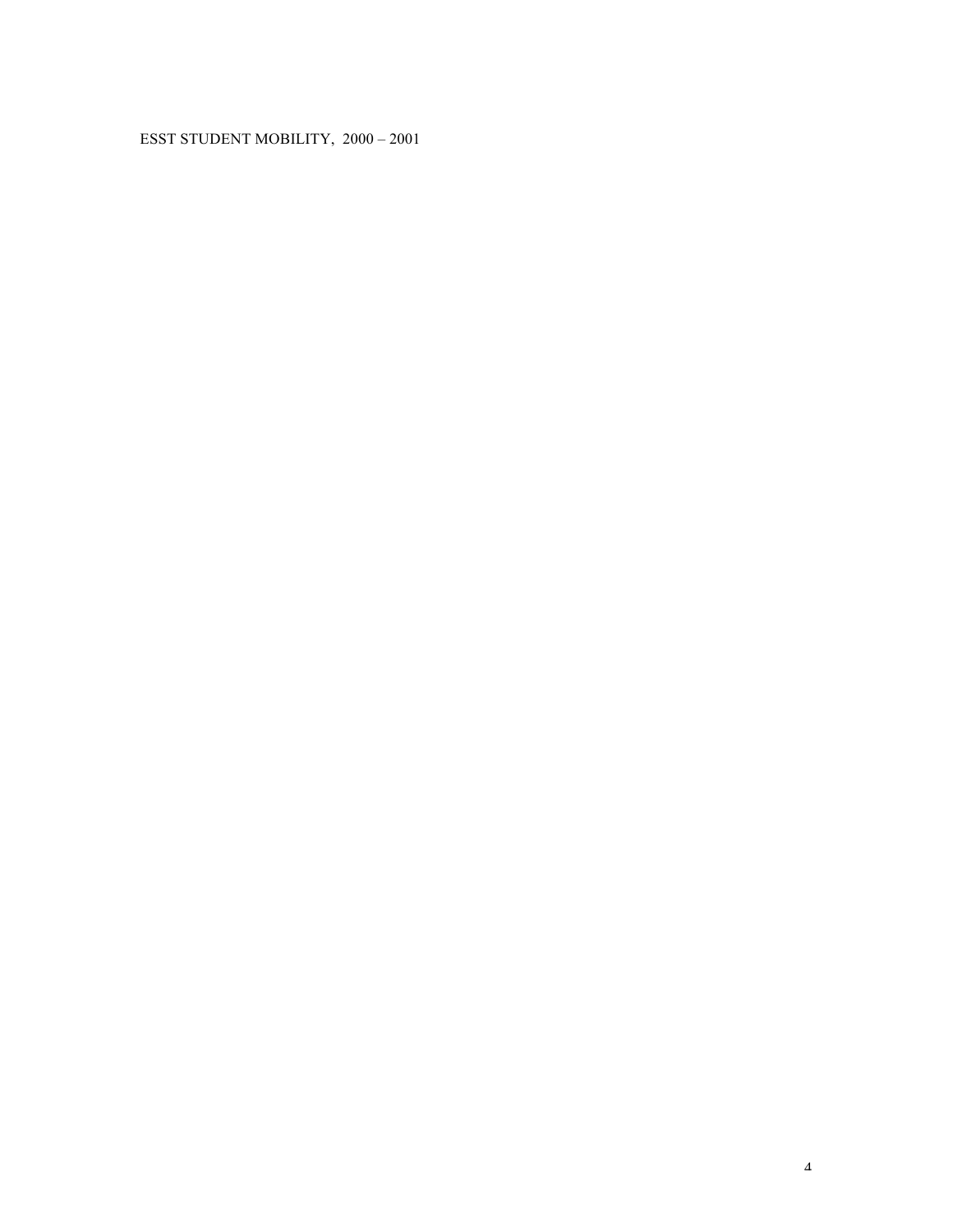### ESST STUDENT MOBILITY, 2000 – 2001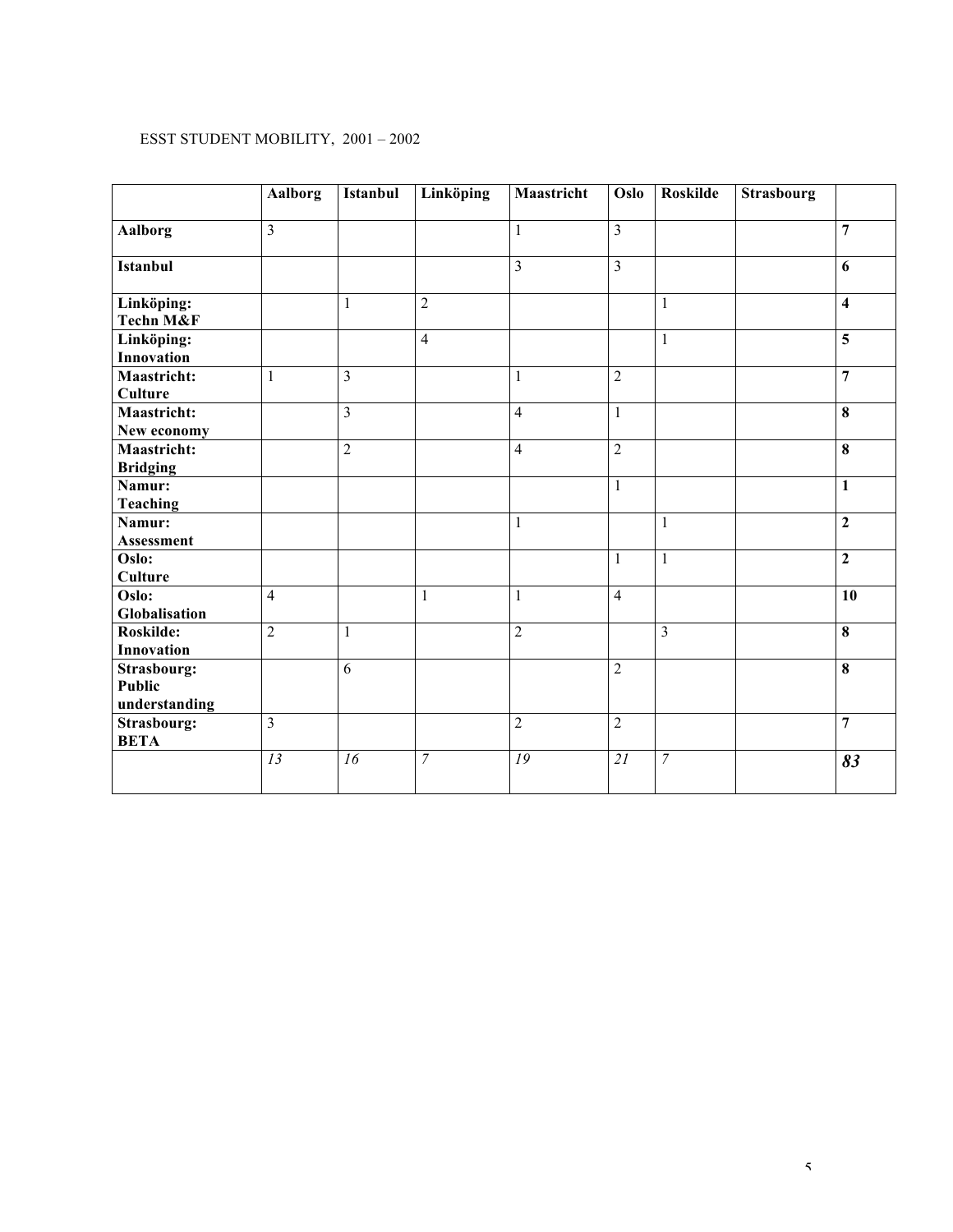#### ESST STUDENT MOBILITY, 2001 – 2002

|                      | <b>Aalborg</b> | <b>Istanbul</b> | <b>Linköping</b> | Maastricht     | Oslo           | <b>Roskilde</b> | Strasbourg |                         |
|----------------------|----------------|-----------------|------------------|----------------|----------------|-----------------|------------|-------------------------|
| <b>Aalborg</b>       | 3              |                 |                  | $\mathbf{1}$   | $\overline{3}$ |                 |            | $\overline{7}$          |
|                      |                |                 |                  |                |                |                 |            |                         |
| <b>Istanbul</b>      |                |                 |                  | $\overline{3}$ | $\overline{3}$ |                 |            | 6                       |
|                      |                |                 |                  |                |                |                 |            |                         |
| Linköping:           |                | 1               | $\overline{2}$   |                |                | 1               |            | $\overline{\mathbf{4}}$ |
| <b>Techn M&amp;F</b> |                |                 |                  |                |                |                 |            |                         |
| Linköping:           |                |                 | $\overline{4}$   |                |                | 1               |            | $\overline{5}$          |
| <b>Innovation</b>    |                |                 |                  |                |                |                 |            |                         |
| <b>Maastricht:</b>   | 1              | 3               |                  | $\mathbf{1}$   | $\overline{2}$ |                 |            | $\overline{7}$          |
| Culture              |                |                 |                  |                |                |                 |            |                         |
| Maastricht:          |                | 3               |                  | $\overline{4}$ | $\mathbf{1}$   |                 |            | $\overline{\mathbf{8}}$ |
| New economy          |                |                 |                  |                |                |                 |            |                         |
| Maastricht:          |                | $\overline{2}$  |                  | $\overline{4}$ | $\overline{2}$ |                 |            | $\overline{\mathbf{8}}$ |
| <b>Bridging</b>      |                |                 |                  |                |                |                 |            |                         |
| Namur:               |                |                 |                  |                | $\mathbf{1}$   |                 |            | $\mathbf{1}$            |
| <b>Teaching</b>      |                |                 |                  |                |                |                 |            |                         |
| Namur:               |                |                 |                  | $\mathbf{1}$   |                | $\mathbf{1}$    |            | $\overline{2}$          |
| Assessment           |                |                 |                  |                |                |                 |            |                         |
| Oslo:                |                |                 |                  |                | 1              | $\mathbf{1}$    |            | $\boldsymbol{2}$        |
| <b>Culture</b>       |                |                 |                  |                |                |                 |            |                         |
| Oslo:                | $\overline{4}$ |                 | $\mathbf{1}$     | $\mathbf{1}$   | $\overline{4}$ |                 |            | 10                      |
| Globalisation        |                |                 |                  |                |                |                 |            |                         |
| Roskilde:            | $\overline{2}$ | $\mathbf{1}$    |                  | $\overline{2}$ |                | $\overline{3}$  |            | $\overline{\mathbf{8}}$ |
| Innovation           |                |                 |                  |                |                |                 |            |                         |
| <b>Strasbourg:</b>   |                | 6               |                  |                | $\overline{2}$ |                 |            | $\overline{\mathbf{8}}$ |
| <b>Public</b>        |                |                 |                  |                |                |                 |            |                         |
| understanding        |                |                 |                  |                |                |                 |            |                         |
| <b>Strasbourg:</b>   | 3              |                 |                  | $\overline{2}$ | $\overline{2}$ |                 |            | $\overline{7}$          |
| <b>BETA</b>          |                |                 |                  |                |                |                 |            |                         |
|                      | 13             | 16              | $\overline{7}$   | 19             | 21             | $\overline{7}$  |            | 83                      |
|                      |                |                 |                  |                |                |                 |            |                         |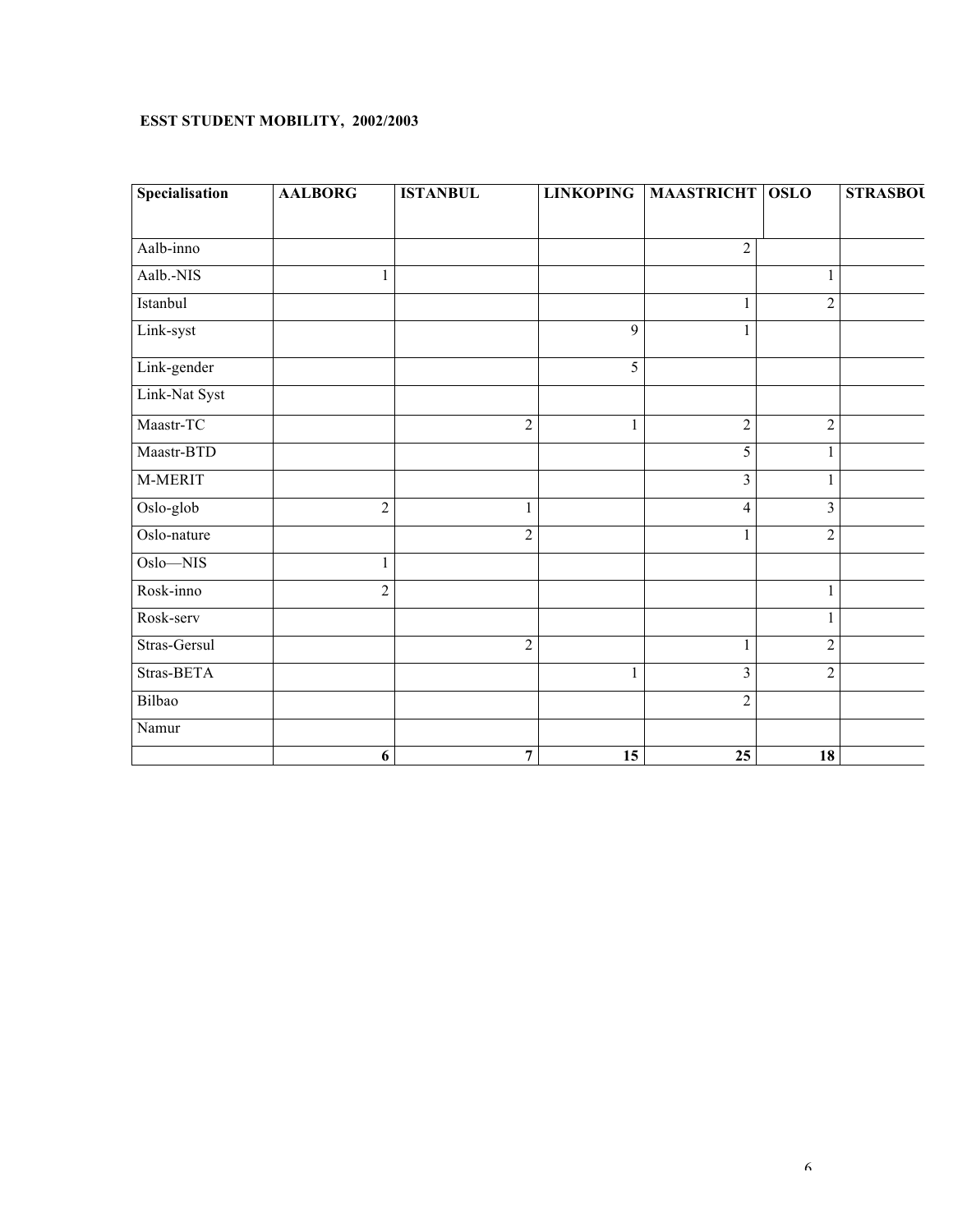#### **ESST STUDENT MOBILITY, 2002/2003**

| Specialisation | <b>AALBORG</b>   | <b>ISTANBUL</b> | <b>LINKOPING</b> | <b>MAASTRICHT OSLO</b> |                         | <b>STRASBOU</b> |
|----------------|------------------|-----------------|------------------|------------------------|-------------------------|-----------------|
|                |                  |                 |                  |                        |                         |                 |
| Aalb-inno      |                  |                 |                  | $\overline{2}$         |                         |                 |
| Aalb.-NIS      |                  |                 |                  |                        |                         |                 |
| Istanbul       |                  |                 |                  | $\mathbf{1}$           | $\overline{2}$          |                 |
| Link-syst      |                  |                 | 9                |                        |                         |                 |
| Link-gender    |                  |                 | $\overline{5}$   |                        |                         |                 |
| Link-Nat Syst  |                  |                 |                  |                        |                         |                 |
| Maastr-TC      |                  | $\sqrt{2}$      | 1                | $\overline{2}$         | $\sqrt{2}$              |                 |
| Maastr-BTD     |                  |                 |                  | $\overline{5}$         | $\mathbf{1}$            |                 |
| M-MERIT        |                  |                 |                  | $\overline{3}$         | $\mathbf{1}$            |                 |
| Oslo-glob      | $\overline{2}$   |                 |                  | $\overline{4}$         | $\overline{\mathbf{3}}$ |                 |
| Oslo-nature    |                  | $\overline{2}$  |                  |                        | $\sqrt{2}$              |                 |
| Oslo-NIS       | 1                |                 |                  |                        |                         |                 |
| Rosk-inno      | $\overline{2}$   |                 |                  |                        | 1                       |                 |
| Rosk-serv      |                  |                 |                  |                        | $\mathbf{1}$            |                 |
| Stras-Gersul   |                  | $\sqrt{2}$      |                  |                        | $\sqrt{2}$              |                 |
| Stras-BETA     |                  |                 | 1                | $\overline{3}$         | $\boldsymbol{2}$        |                 |
| Bilbao         |                  |                 |                  | $\sqrt{2}$             |                         |                 |
| Namur          |                  |                 |                  |                        |                         |                 |
|                | $\boldsymbol{6}$ | $\overline{7}$  | $\overline{15}$  | $\overline{25}$        | $\overline{18}$         |                 |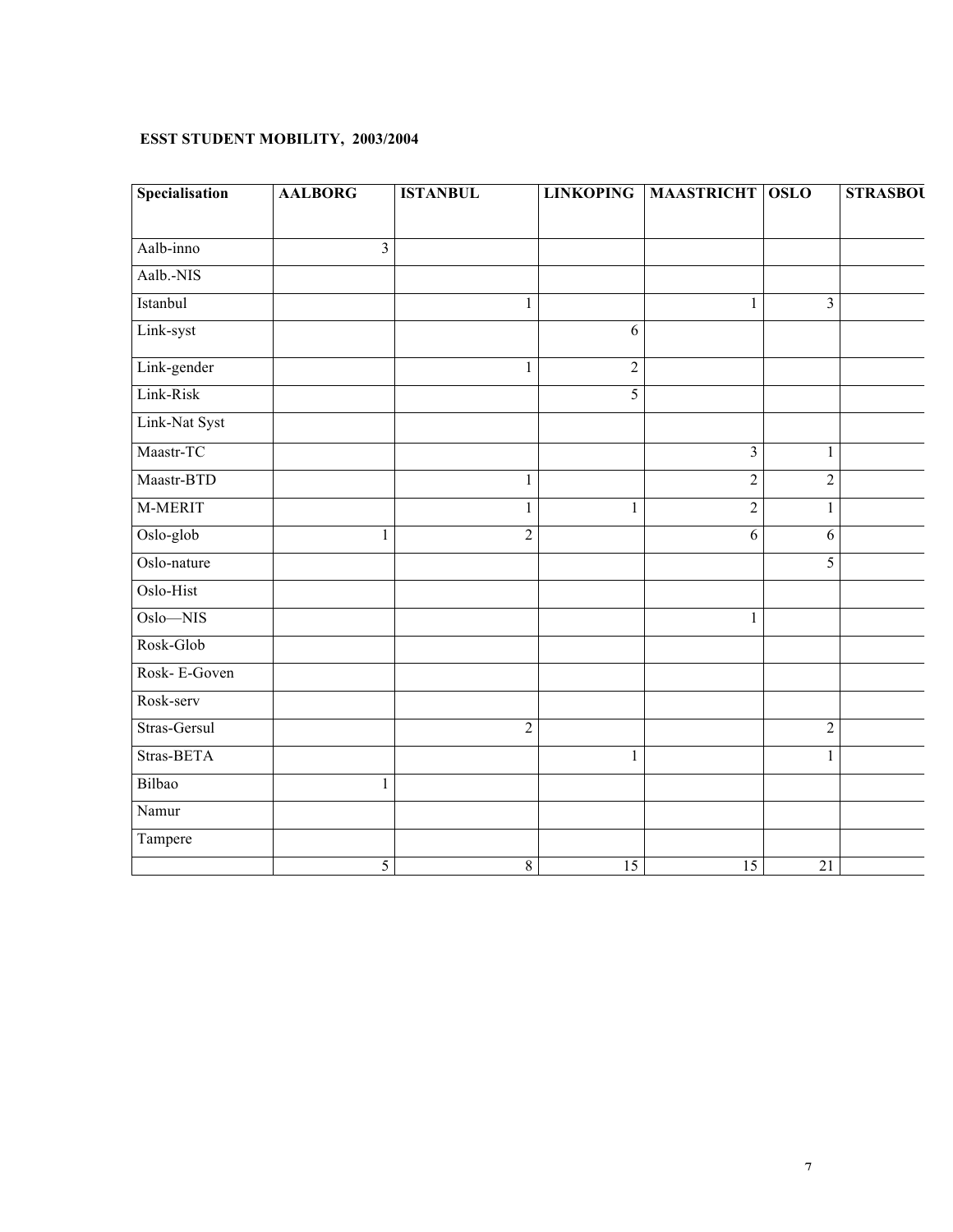#### **ESST STUDENT MOBILITY, 2003/2004**

| Specialisation | <b>AALBORG</b> | <b>ISTANBUL</b> |                | LINKOPING   MAASTRICHT   OSLO |                 | <b>STRASBOU</b> |
|----------------|----------------|-----------------|----------------|-------------------------------|-----------------|-----------------|
| Aalb-inno      | $\overline{3}$ |                 |                |                               |                 |                 |
|                |                |                 |                |                               |                 |                 |
| Aalb.-NIS      |                |                 |                |                               |                 |                 |
| Istanbul       |                |                 |                |                               | $\mathfrak{Z}$  |                 |
| Link-syst      |                |                 | 6              |                               |                 |                 |
| Link-gender    |                |                 | $\overline{2}$ |                               |                 |                 |
| Link-Risk      |                |                 | 5              |                               |                 |                 |
| Link-Nat Syst  |                |                 |                |                               |                 |                 |
| Maastr-TC      |                |                 |                | $\overline{3}$                | $\mathbf{1}$    |                 |
| Maastr-BTD     |                | 1               |                | $\overline{c}$                | $\sqrt{2}$      |                 |
| M-MERIT        |                | 1               | $\mathbf{1}$   | $\overline{c}$                | $\,1\,$         |                 |
| Oslo-glob      |                | $\overline{2}$  |                | 6                             | $\sqrt{6}$      |                 |
| Oslo-nature    |                |                 |                |                               | $\overline{5}$  |                 |
| Oslo-Hist      |                |                 |                |                               |                 |                 |
| Oslo-NIS       |                |                 |                |                               |                 |                 |
| Rosk-Glob      |                |                 |                |                               |                 |                 |
| Rosk-E-Goven   |                |                 |                |                               |                 |                 |
| Rosk-serv      |                |                 |                |                               |                 |                 |
| Stras-Gersul   |                | $\overline{2}$  |                |                               | $\sqrt{2}$      |                 |
| Stras-BETA     |                |                 | $\mathbf{1}$   |                               | $\mathbf{1}$    |                 |
| Bilbao         | $\mathbf{1}$   |                 |                |                               |                 |                 |
| Namur          |                |                 |                |                               |                 |                 |
| Tampere        |                |                 |                |                               |                 |                 |
|                | 5              | $8\,$           | 15             | 15                            | $\overline{21}$ |                 |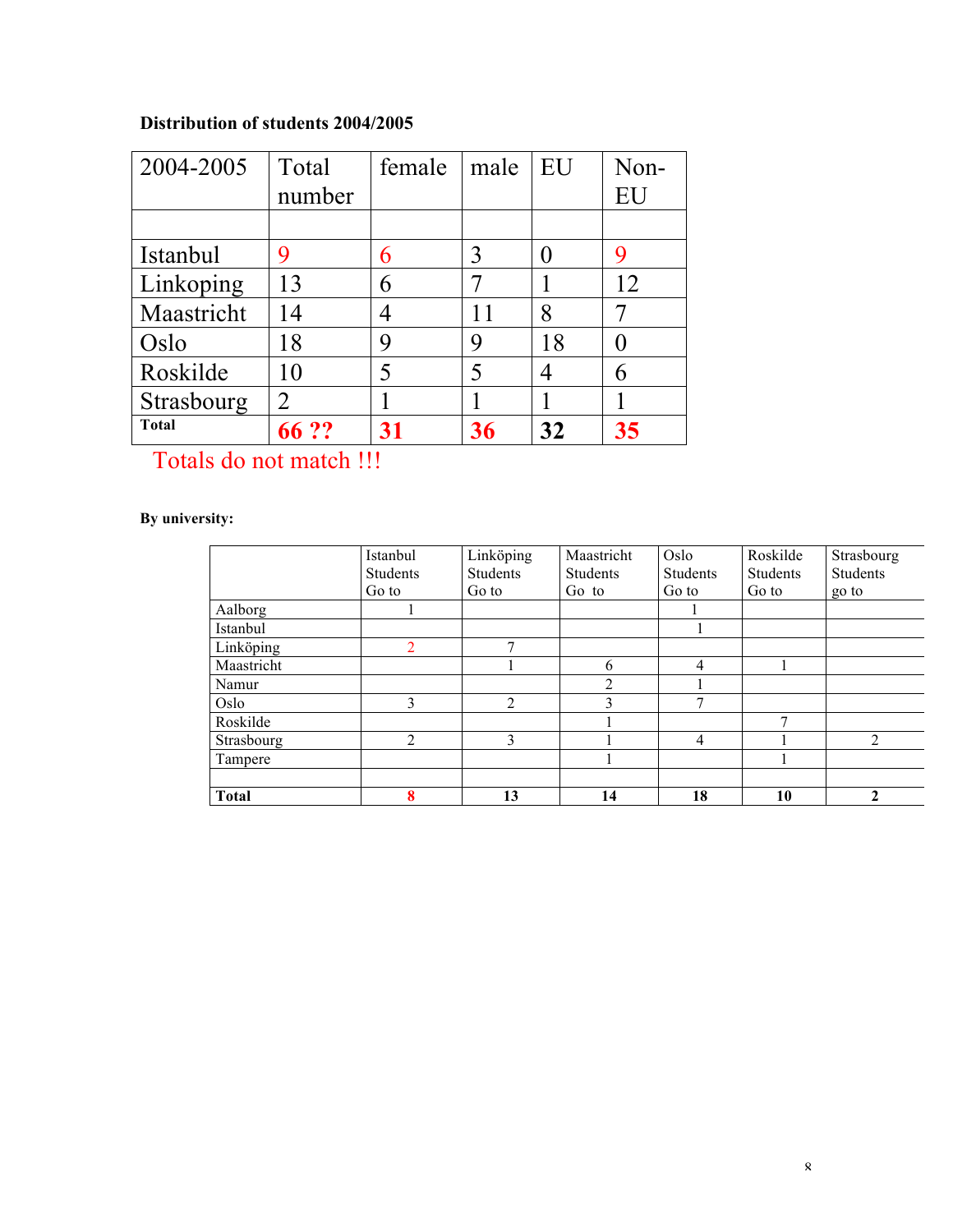# **Distribution of students 2004/2005**

| 2004-2005    | Total          | female | male | EU | Non- |
|--------------|----------------|--------|------|----|------|
|              | number         |        |      |    | EU   |
|              |                |        |      |    |      |
| Istanbul     | 9              | 6      | 3    |    | 9    |
| Linkoping    | 13             | 6      |      |    | 12   |
| Maastricht   | 14             | Λ      |      | 8  |      |
| Oslo         | 18             | 9      | 9    | 18 |      |
| Roskilde     | 10             | 5      | 5    |    | 6    |
| Strasbourg   | $\overline{2}$ |        |      |    |      |
| <b>Total</b> | 66 ??          | 31     | 36   | 32 | 35   |

Totals do not match !!!

## **By university:**

|              | Istanbul | Linköping | Maastricht     | Oslo          | Roskilde | Strasbourg   |
|--------------|----------|-----------|----------------|---------------|----------|--------------|
|              | Students | Students  | Students       | Students      | Students | Students     |
|              | Go to    | Go to     | Go to          | Go to         | Go to    | go to        |
| Aalborg      |          |           |                |               |          |              |
| Istanbul     |          |           |                |               |          |              |
| Linköping    |          | ⇁         |                |               |          |              |
| Maastricht   |          |           | 6              | 4             |          |              |
| Namur        |          |           | $\overline{c}$ |               |          |              |
| Oslo         | 3        | 2         | 3              | $\mathcal{L}$ |          |              |
| Roskilde     |          |           |                |               | 7        |              |
| Strasbourg   | 2        | 3         |                | 4             |          | 2            |
| Tampere      |          |           |                |               |          |              |
|              |          |           |                |               |          |              |
| <b>Total</b> | 8        | 13        | 14             | 18            | 10       | $\mathbf{2}$ |